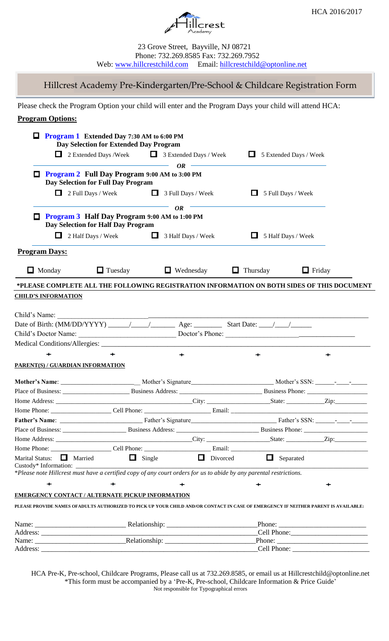

23 Grove Street, Bayville, NJ 08721 Phone: 732.269.8585 Fax: 732.269.7952 Web: [www.hillcrestchild.com](http://www.hillcrestchild.com/) Email: [hillcrestchild@optonline.net](mailto:hillcrestchild@optonline.net)

Hillcrest Academy Pre-Kindergarten/Pre-School & Childcare Registration Form

Please check the Program Option your child will enter and the Program Days your child will attend HCA:

# **Program Options:**

| ш                                                                                                                   | <b>Program 1</b> Extended Day 7:30 AM to 6:00 PM<br>Day Selection for Extended Day Program |                  |                                                |                                                                                                                                    |  |
|---------------------------------------------------------------------------------------------------------------------|--------------------------------------------------------------------------------------------|------------------|------------------------------------------------|------------------------------------------------------------------------------------------------------------------------------------|--|
| $\Box$                                                                                                              | 2 Extended Days /Week ■ 3 Extended Days / Week                                             |                  |                                                | $\Box$ 5 Extended Days / Week                                                                                                      |  |
|                                                                                                                     | <u> 1989 - Johann Barnett, fransk politiker</u>                                            | <b>OR</b>        |                                                |                                                                                                                                    |  |
| □                                                                                                                   | <b>Program 2 Full Day Program 9:00 AM to 3:00 PM</b><br>Day Selection for Full Day Program |                  |                                                |                                                                                                                                    |  |
|                                                                                                                     | $\Box$ 2 Full Days / Week $\Box$ 3 Full Days / Week                                        |                  | $\Box$ 5 Full Days / Week                      |                                                                                                                                    |  |
| □                                                                                                                   | <b>Program 3 Half Day Program 9:00 AM to 1:00 PM</b><br>Day Selection for Half Day Program | <b>OR</b>        |                                                |                                                                                                                                    |  |
|                                                                                                                     | $\Box$ 2 Half Days / Week $\Box$ 3 Half Days / Week                                        |                  | $\Box$ 5 Half Days / Week                      |                                                                                                                                    |  |
| <b>Program Days:</b>                                                                                                |                                                                                            |                  |                                                |                                                                                                                                    |  |
| $\Box$ Monday                                                                                                       | $\Box$ Tuesday                                                                             | $\Box$ Wednesday | $\Box$ Thursday                                | $\Box$ Friday                                                                                                                      |  |
|                                                                                                                     |                                                                                            |                  |                                                | *PLEASE COMPLETE ALL THE FOLLOWING REGISTRATION INFORMATION ON BOTH SIDES OF THIS DOCUMENT                                         |  |
| <b>CHILD'S INFORMATION</b>                                                                                          |                                                                                            |                  |                                                |                                                                                                                                    |  |
|                                                                                                                     |                                                                                            |                  |                                                |                                                                                                                                    |  |
| Child's Name:                                                                                                       |                                                                                            |                  |                                                |                                                                                                                                    |  |
|                                                                                                                     |                                                                                            |                  |                                                |                                                                                                                                    |  |
|                                                                                                                     |                                                                                            |                  |                                                |                                                                                                                                    |  |
|                                                                                                                     |                                                                                            |                  |                                                |                                                                                                                                    |  |
| ÷                                                                                                                   | $\div$                                                                                     | ÷                | ↞                                              | ↞                                                                                                                                  |  |
|                                                                                                                     |                                                                                            |                  |                                                |                                                                                                                                    |  |
| PARENT(S) / GUARDIAN INFORMATION                                                                                    |                                                                                            |                  |                                                |                                                                                                                                    |  |
|                                                                                                                     |                                                                                            |                  |                                                |                                                                                                                                    |  |
|                                                                                                                     |                                                                                            |                  |                                                |                                                                                                                                    |  |
|                                                                                                                     |                                                                                            |                  |                                                |                                                                                                                                    |  |
|                                                                                                                     |                                                                                            |                  |                                                |                                                                                                                                    |  |
|                                                                                                                     |                                                                                            |                  |                                                |                                                                                                                                    |  |
|                                                                                                                     |                                                                                            |                  |                                                |                                                                                                                                    |  |
|                                                                                                                     |                                                                                            |                  |                                                |                                                                                                                                    |  |
|                                                                                                                     |                                                                                            |                  |                                                |                                                                                                                                    |  |
| Marital Status: Married<br>Custody* Information: __                                                                 |                                                                                            |                  | $\Box$ Single $\Box$ Divorced $\Box$ Separated |                                                                                                                                    |  |
| *Please note Hillcrest must have a certified copy of any court orders for us to abide by any parental restrictions. |                                                                                            |                  |                                                |                                                                                                                                    |  |
| $\div$                                                                                                              |                                                                                            |                  |                                                |                                                                                                                                    |  |
|                                                                                                                     |                                                                                            |                  |                                                |                                                                                                                                    |  |
| <b>EMERGENCY CONTACT / ALTERNATE PICKUP INFORMATION</b>                                                             |                                                                                            |                  |                                                |                                                                                                                                    |  |
|                                                                                                                     |                                                                                            |                  |                                                | PLEASE PROVIDE NAMES OFADULTS AUTHORIZED TO PICK UP YOUR CHILD AND/OR CONTACT IN CASE OF EMERGENCY IF NEITHER PARENT IS AVAILABLE: |  |
|                                                                                                                     |                                                                                            |                  |                                                |                                                                                                                                    |  |
|                                                                                                                     |                                                                                            |                  |                                                |                                                                                                                                    |  |
|                                                                                                                     |                                                                                            |                  |                                                |                                                                                                                                    |  |
|                                                                                                                     |                                                                                            |                  |                                                |                                                                                                                                    |  |

HCA Pre-K, Pre-school, Childcare Programs, Please call us at 732.269.8585, or email us at Hillcrestchild@optonline.net \*This form must be accompanied by a 'Pre-K, Pre-school, Childcare Information & Price Guide' Not responsible for Typographical errors